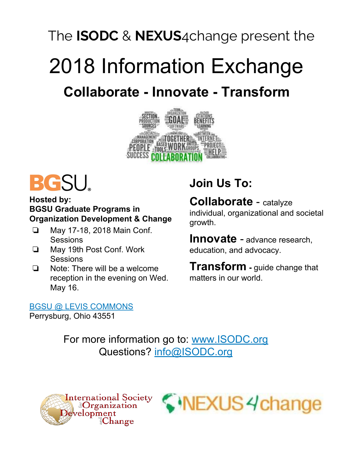2018 Information Exchange **Collaborate - Innovate - Transform** The **ISODC** & **NEXUS**4change present the





#### **Hosted by: BGSU Graduate Programs in Organization Development & Change**

- ❏ May 17-18, 2018 Main Conf. **Sessions**
- ❏ May 19th Post Conf. Work **Sessions**
- ❏ Note: There will be a welcome reception in the evening on Wed. May 16.

### [BGSU @ LEVIS COMMONS](https://www.bgsu.edu/bowen-thompson-student-union/conference-and-event-services/spaces/bgsu-at-levis-commons.html)

Perrysburg, Ohio 43551

## **Join Us To:**

**Collaborate** - catalyze individual, organizational and societal growth.

**Innovate** - advance research, education, and advocacy.

**Transform** - guide change that matters in our world.

For more information go to: [www.ISODC.org](http://www.isodc.org) Questions? [info@ISODC.org](mailto:info@ISODC.org)